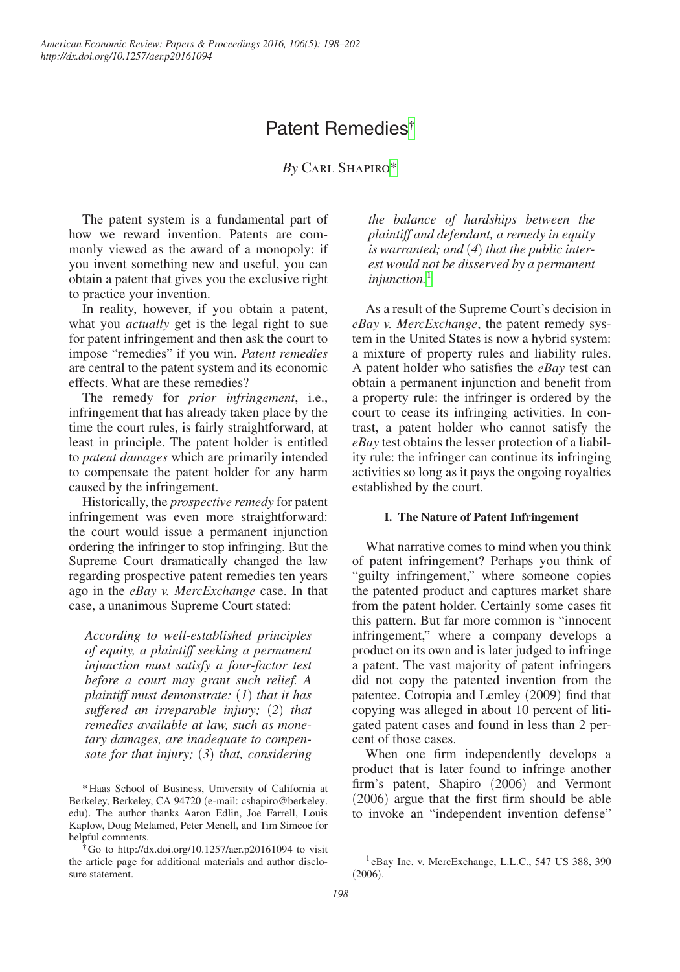# Patent Remedies[†](#page-0-0)

*By* Carl Shapir[o\\*](#page-0-1)

The patent system is a fundamental part of how we reward invention. Patents are commonly viewed as the award of a monopoly: if you invent something new and useful, you can obtain a patent that gives you the exclusive right to practice your invention.

In reality, however, if you obtain a patent, what you *actually* get is the legal right to sue for patent infringement and then ask the court to impose "remedies" if you win. *Patent remedies*  are central to the patent system and its economic effects. What are these remedies?

The remedy for *prior infringement*, i.e., infringement that has already taken place by the time the court rules, is fairly straightforward, at least in principle. The patent holder is entitled to *patent damages* which are primarily intended to compensate the patent holder for any harm caused by the infringement.

Historically, the *prospective remedy* for patent infringement was even more straightforward: the court would issue a permanent injunction ordering the infringer to stop infringing. But the Supreme Court dramatically changed the law regarding prospective patent remedies ten years ago in the *eBay v. MercExchange* case. In that case, a unanimous Supreme Court stated:

*According to well-established principles of equity, a plaintiff seeking a permanent injunction must satisfy a four-factor test before a court may grant such relief. A plaintiff must demonstrate:* (*1*) *that it has suffered an irreparable injury;* (*2*) *that remedies available at law, such as monetary damages, are inadequate to compensate for that injury;* (*3*) *that, considering* 

<span id="page-0-1"></span>\*Haas School of Business, University of California at Berkeley, Berkeley, CA 94720 (e-mail: cshapiro@berkeley. edu). The author thanks Aaron Edlin, Joe Farrell, Louis Kaplow, Doug Melamed, Peter Menell, and Tim Simcoe for helpful comments.

<span id="page-0-0"></span>†Go to http://dx.doi.org/10.1257/aer.p20161094 to visit the article page for additional materials and author disclosure statement.

*the balance of hardships between the plaintiff and defendant, a remedy in equity is warranted; and* (*4*) *that the public interest would not be disserved by a permanent injunction.*[1](#page-0-2)

As a result of the Supreme Court's decision in *eBay v. MercExchange*, the patent remedy system in the United States is now a hybrid system: a mixture of property rules and liability rules. A patent holder who satisfies the *eBay* test can obtain a permanent injunction and benefit from a property rule: the infringer is ordered by the court to cease its infringing activities. In contrast, a patent holder who cannot satisfy the *eBay* test obtains the lesser protection of a liability rule: the infringer can continue its infringing activities so long as it pays the ongoing royalties established by the court.

### **I. The Nature of Patent Infringement**

What narrative comes to mind when you think of patent infringement? Perhaps you think of "guilty infringement," where someone copies the patented product and captures market share from the patent holder. Certainly some cases fit this pattern. But far more common is "innocent infringement," where a company develops a product on its own and is later judged to infringe a patent. The vast majority of patent infringers did not copy the patented invention from the patentee. Cotropia and Lemley (2009) find that copying was alleged in about 10 percent of litigated patent cases and found in less than 2 percent of those cases.

When one firm independently develops a product that is later found to infringe another firm's patent, Shapiro (2006) and Vermont (2006) argue that the first firm should be able to invoke an "independent invention defense"

<span id="page-0-2"></span><sup>&</sup>lt;sup>1</sup>eBay Inc. v. MercExchange, L.L.C., 547 US 388, 390 (2006).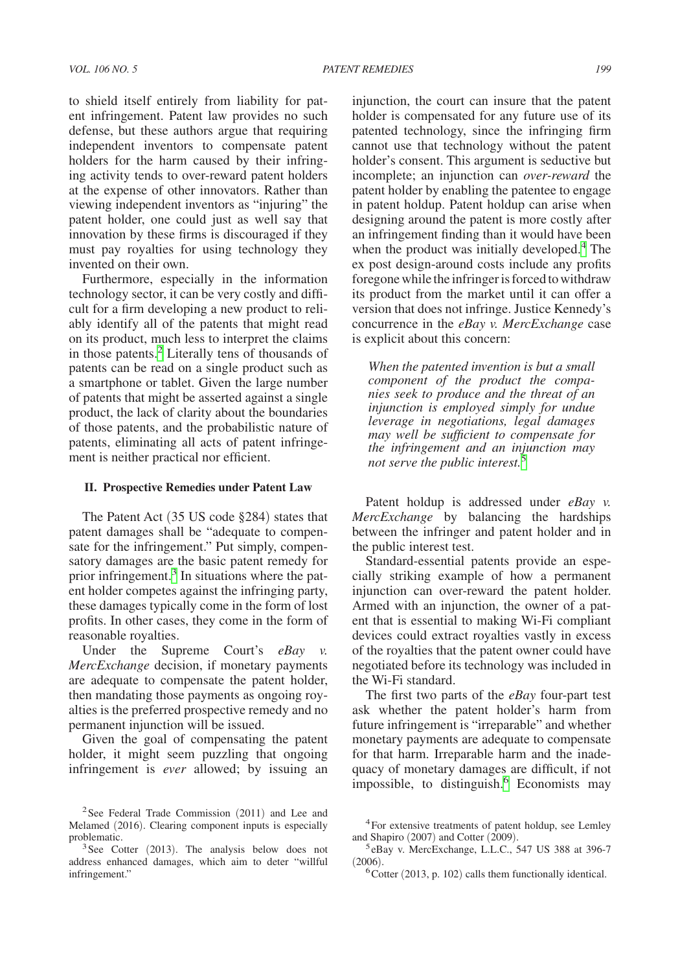to shield itself entirely from liability for patent infringement. Patent law provides no such defense, but these authors argue that requiring independent inventors to compensate patent holders for the harm caused by their infringing activity tends to over-reward patent holders at the expense of other innovators. Rather than viewing independent inventors as "injuring" the patent holder, one could just as well say that innovation by these firms is discouraged if they must pay royalties for using technology they invented on their own.

Furthermore, especially in the information technology sector, it can be very costly and difficult for a firm developing a new product to reliably identify all of the patents that might read on its product, much less to interpret the claims in those patents.[2](#page-1-0) Literally tens of thousands of patents can be read on a single product such as a smartphone or tablet. Given the large number of patents that might be asserted against a single product, the lack of clarity about the boundaries of those patents, and the probabilistic nature of patents, eliminating all acts of patent infringement is neither practical nor efficient.

# **II. Prospective Remedies under Patent Law**

The Patent Act (35 US code §284) states that patent damages shall be "adequate to compensate for the infringement." Put simply, compensatory damages are the basic patent remedy for prior infringement.<sup>3</sup> In situations where the patent holder competes against the infringing party, these damages typically come in the form of lost profits. In other cases, they come in the form of reasonable royalties.

Under the Supreme Court's *eBay v. MercExchange* decision, if monetary payments are adequate to compensate the patent holder, then mandating those payments as ongoing royalties is the preferred prospective remedy and no permanent injunction will be issued.

Given the goal of compensating the patent holder, it might seem puzzling that ongoing infringement is *ever* allowed; by issuing an

injunction, the court can insure that the patent holder is compensated for any future use of its patented technology, since the infringing firm cannot use that technology without the patent holder's consent. This argument is seductive but incomplete; an injunction can *over-reward* the patent holder by enabling the patentee to engage in patent holdup. Patent holdup can arise when designing around the patent is more costly after an infringement finding than it would have been when the product was initially developed.<sup>[4](#page-1-2)</sup> The ex post design-around costs include any profits foregone while the infringer is forced to withdraw its product from the market until it can offer a version that does not infringe. Justice Kennedy's concurrence in the *eBay v. MercExchange* case is explicit about this concern:

*When the patented invention is but a small component of the product the companies seek to produce and the threat of an injunction is employed simply for undue leverage in negotiations, legal damages may well be sufficient to compensate for the infringement and an injunction may not serve the public interest.*[5](#page-1-3)

Patent holdup is addressed under *eBay v*. *MercExchange* by balancing the hardships between the infringer and patent holder and in the public interest test.

Standard-essential patents provide an especially striking example of how a permanent injunction can over-reward the patent holder. Armed with an injunction, the owner of a patent that is essential to making Wi-Fi compliant devices could extract royalties vastly in excess of the royalties that the patent owner could have negotiated before its technology was included in the Wi-Fi standard.

The first two parts of the *eBay* four-part test ask whether the patent holder's harm from future infringement is "irreparable" and whether monetary payments are adequate to compensate for that harm. Irreparable harm and the inadequacy of monetary damages are difficult, if not impossible, to distinguish.<sup>6</sup> Economists may

<span id="page-1-0"></span><sup>&</sup>lt;sup>2</sup>See Federal Trade Commission (2011) and Lee and Melamed (2016). Clearing component inputs is especially

<span id="page-1-1"></span>problematic.<br> $3$ See Cotter (2013). The analysis below does not address enhanced damages, which aim to deter "willful infringement."

<span id="page-1-2"></span><sup>4</sup>For extensive treatments of patent holdup, see Lemley and Shapiro (2007) and Cotter (2009).<br> ${}^{5}$ eBay v. MercExchange, L.L.C., 547 US 388 at 396-7

<span id="page-1-3"></span> $(2006)$ .<br><sup>6</sup>Cotter (2013, p. 102) calls them functionally identical.

<span id="page-1-4"></span>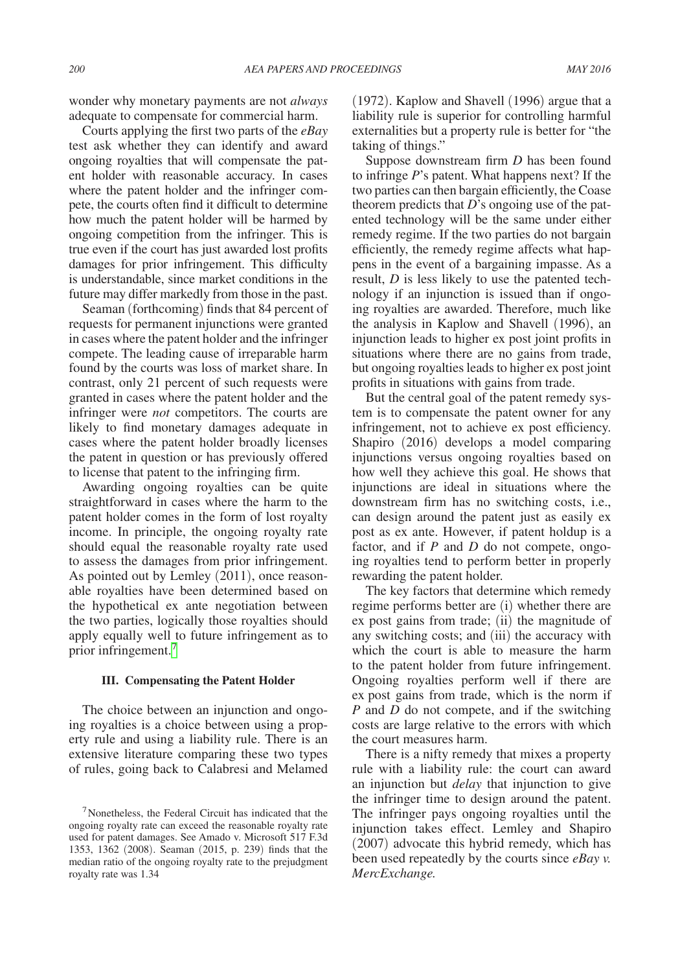wonder why monetary payments are not *always*  adequate to compensate for commercial harm.

Courts applying the first two parts of the *eBay* test ask whether they can identify and award ongoing royalties that will compensate the patent holder with reasonable accuracy. In cases where the patent holder and the infringer compete, the courts often find it difficult to determine how much the patent holder will be harmed by ongoing competition from the infringer. This is true even if the court has just awarded lost profits damages for prior infringement. This difficulty is understandable, since market conditions in the future may differ markedly from those in the past.

Seaman (forthcoming) finds that 84 percent of requests for permanent injunctions were granted in cases where the patent holder and the infringer compete. The leading cause of irreparable harm found by the courts was loss of market share. In contrast, only 21 percent of such requests were granted in cases where the patent holder and the infringer were *not* competitors. The courts are likely to find monetary damages adequate in cases where the patent holder broadly licenses the patent in question or has previously offered to license that patent to the infringing firm.

Awarding ongoing royalties can be quite straightforward in cases where the harm to the patent holder comes in the form of lost royalty income. In principle, the ongoing royalty rate should equal the reasonable royalty rate used to assess the damages from prior infringement. As pointed out by Lemley (2011), once reasonable royalties have been determined based on the hypothetical ex ante negotiation between the two parties, logically those royalties should apply equally well to future infringement as to prior infringement[.7](#page-2-0)

### **III. Compensating the Patent Holder**

The choice between an injunction and ongoing royalties is a choice between using a property rule and using a liability rule. There is an extensive literature comparing these two types of rules, going back to Calabresi and Melamed

(1972). Kaplow and Shavell (1996) argue that a liability rule is superior for controlling harmful externalities but a property rule is better for "the taking of things."

Suppose downstream firm *D* has been found to infringe *P*'s patent. What happens next? If the two parties can then bargain efficiently, the Coase theorem predicts that *D*'s ongoing use of the patented technology will be the same under either remedy regime. If the two parties do not bargain efficiently, the remedy regime affects what happens in the event of a bargaining impasse. As a result, *D* is less likely to use the patented technology if an injunction is issued than if ongoing royalties are awarded. Therefore, much like the analysis in Kaplow and Shavell (1996), an injunction leads to higher ex post joint profits in situations where there are no gains from trade, but ongoing royalties leads to higher ex post joint profits in situations with gains from trade.

But the central goal of the patent remedy system is to compensate the patent owner for any infringement, not to achieve ex post efficiency. Shapiro (2016) develops a model comparing injunctions versus ongoing royalties based on how well they achieve this goal. He shows that injunctions are ideal in situations where the downstream firm has no switching costs, i.e., can design around the patent just as easily ex post as ex ante. However, if patent holdup is a factor, and if *P* and *D* do not compete, ongoing royalties tend to perform better in properly rewarding the patent holder.

The key factors that determine which remedy regime performs better are (i) whether there are ex post gains from trade; (ii) the magnitude of any switching costs; and (iii) the accuracy with which the court is able to measure the harm to the patent holder from future infringement. Ongoing royalties perform well if there are ex post gains from trade, which is the norm if *P* and *D* do not compete, and if the switching costs are large relative to the errors with which the court measures harm.

There is a nifty remedy that mixes a property rule with a liability rule: the court can award an injunction but *delay* that injunction to give the infringer time to design around the patent. The infringer pays ongoing royalties until the injunction takes effect. Lemley and Shapiro (2007) advocate this hybrid remedy, which has been used repeatedly by the courts since *eBay v. MercExchange.*

<span id="page-2-0"></span><sup>7</sup>Nonetheless, the Federal Circuit has indicated that the ongoing royalty rate can exceed the reasonable royalty rate used for patent damages. See Amado v. Microsoft 517 F.3d 1353, 1362 (2008). Seaman (2015, p. 239) finds that the median ratio of the ongoing royalty rate to the prejudgment royalty rate was 1.34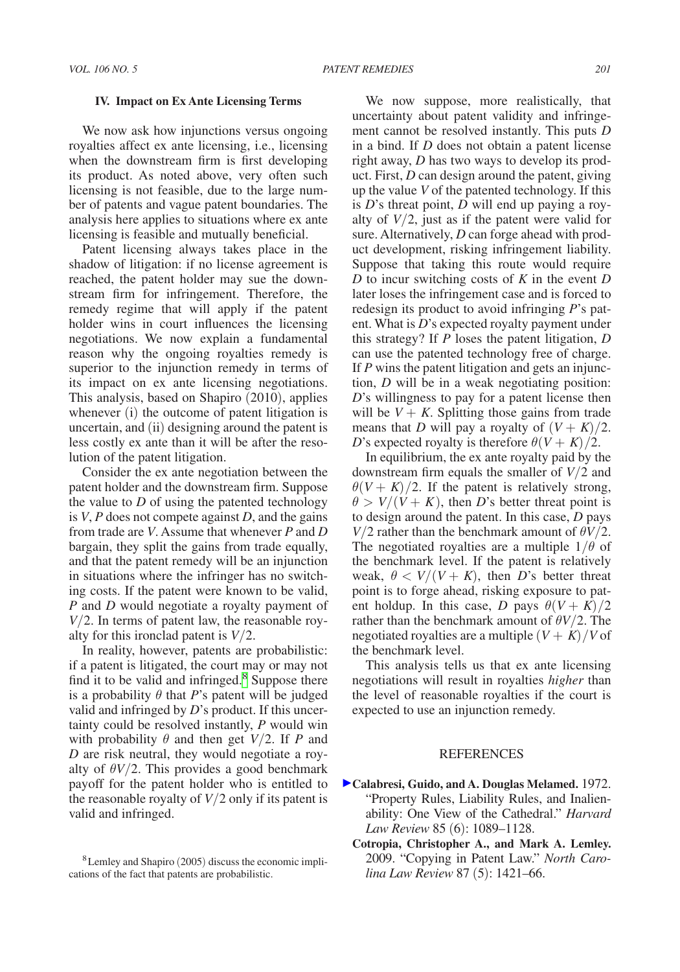#### **IV. Impact on Ex Ante Licensing Terms**

We now ask how injunctions versus ongoing royalties affect ex ante licensing, i.e., licensing when the downstream firm is first developing its product. As noted above, very often such licensing is not feasible, due to the large number of patents and vague patent boundaries. The analysis here applies to situations where ex ante licensing is feasible and mutually beneficial.

Patent licensing always takes place in the shadow of litigation: if no license agreement is reached, the patent holder may sue the downstream firm for infringement. Therefore, the remedy regime that will apply if the patent holder wins in court influences the licensing negotiations. We now explain a fundamental reason why the ongoing royalties remedy is superior to the injunction remedy in terms of its impact on ex ante licensing negotiations. This analysis, based on Shapiro (2010), applies whenever (i) the outcome of patent litigation is uncertain, and (ii) designing around the patent is less costly ex ante than it will be after the resolution of the patent litigation.

Consider the ex ante negotiation between the patent holder and the downstream firm. Suppose the value to *D* of using the patented technology is *V*, *P* does not compete against *D*, and the gains from trade are *V*. Assume that whenever *P* and *D* bargain, they split the gains from trade equally, and that the patent remedy will be an injunction in situations where the infringer has no switching costs. If the patent were known to be valid, *P* and *D* would negotiate a royalty payment of *V*/2. In terms of patent law, the reasonable royalty for this ironclad patent is *V*/2.

In reality, however, patents are probabilistic: if a patent is litigated, the court may or may not find it to be valid and infringed.<sup>[8](#page-3-0)</sup> Suppose there is a probability  $\theta$  that *P*'s patent will be judged valid and infringed by *D*'s product. If this uncertainty could be resolved instantly, *P* would win with probability  $\theta$  and then get  $V/2$ . If *P* and *D* are risk neutral, they would negotiate a royalty of  $\theta V/2$ . This provides a good benchmark payoff for the patent holder who is entitled to the reasonable royalty of  $V/2$  only if its patent is valid and infringed.

We now suppose, more realistically, that uncertainty about patent validity and infringement cannot be resolved instantly. This puts *D*  in a bind. If *D* does not obtain a patent license right away, *D* has two ways to develop its product. First, *D* can design around the patent, giving up the value *V* of the patented technology. If this is *D*'s threat point, *D* will end up paying a royalty of  $V/2$ , just as if the patent were valid for sure. Alternatively, *D* can forge ahead with product development, risking infringement liability. Suppose that taking this route would require *D* to incur switching costs of *K* in the event *D*  later loses the infringement case and is forced to redesign its product to avoid infringing *P*'s patent. What is *D*'s expected royalty payment under this strategy? If *P* loses the patent litigation, *D* can use the patented technology free of charge. If *P* wins the patent litigation and gets an injunction, *D* will be in a weak negotiating position: *D*'s willingness to pay for a patent license then will be  $V + K$ . Splitting those gains from trade means that *D* will pay a royalty of  $(V + K)/2$ . *D*'s expected royalty is therefore  $\theta(V + K)/2$ .

In equilibrium, the ex ante royalty paid by the downstream firm equals the smaller of *V*/2 and  $\theta(V + K)/2$ . If the patent is relatively strong,  $\theta > V/(V + K)$ , then *D*'s better threat point is to design around the patent. In this case, *D* pays *V*/2 rather than the benchmark amount of  $\theta$ *V*/2. The negotiated royalties are a multiple  $1/\theta$  of the benchmark level. If the patent is relatively weak,  $\theta < V/(V + K)$ , then *D*'s better threat point is to forge ahead, risking exposure to patent holdup. In this case, *D* pays  $\theta(V + K)/2$ rather than the benchmark amount of θ*V*/2. The negotiated royalties are a multiple  $(V + K)/V$  of the benchmark level.

This analysis tells us that ex ante licensing negotiations will result in royalties *higher* than the level of reasonable royalties if the court is expected to use an injunction remedy.

# **REFERENCES**

- **Calabresi, Guido, and A. Douglas Melamed.** 1972. "Property Rules, Liability Rules, and Inalienability: One View of the Cathedral." *Harvard Law Review* 85 (6): 1089–1128.
	- **Cotropia, Christopher A., and Mark A. Lemley.**  2009. "Copying in Patent Law." *North Carolina Law Review* 87 (5): 1421–66.

<span id="page-3-0"></span><sup>8</sup>Lemley and Shapiro (2005) discuss the economic implications of the fact that patents are probabilistic.